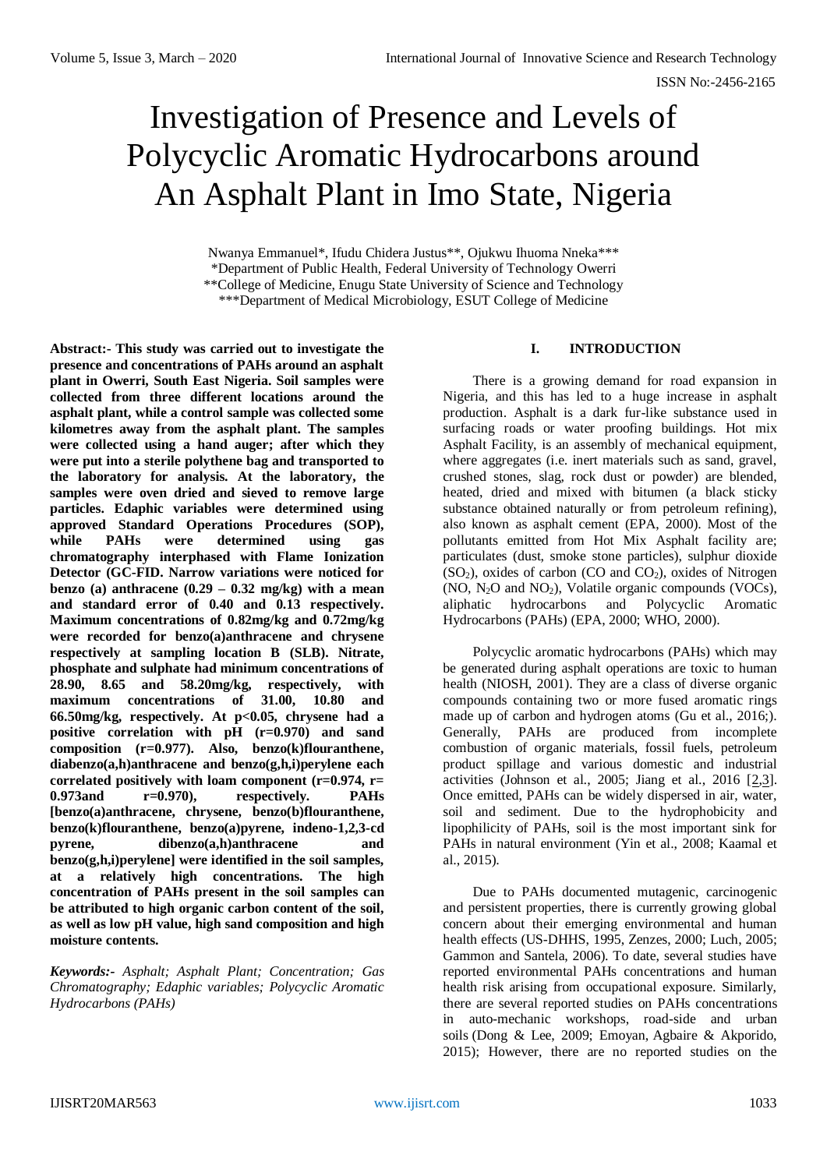# Investigation of Presence and Levels of Polycyclic Aromatic Hydrocarbons around An Asphalt Plant in Imo State, Nigeria

Nwanya Emmanuel\*, Ifudu Chidera Justus\*\*, Ojukwu Ihuoma Nneka\*\*\* \*Department of Public Health, Federal University of Technology Owerri \*\*College of Medicine, Enugu State University of Science and Technology \*\*\*Department of Medical Microbiology, ESUT College of Medicine

**Abstract:- This study was carried out to investigate the presence and concentrations of PAHs around an asphalt plant in Owerri, South East Nigeria. Soil samples were collected from three different locations around the asphalt plant, while a control sample was collected some kilometres away from the asphalt plant. The samples were collected using a hand auger; after which they were put into a sterile polythene bag and transported to the laboratory for analysis. At the laboratory, the samples were oven dried and sieved to remove large particles. Edaphic variables were determined using approved Standard Operations Procedures (SOP), while PAHs were determined using gas chromatography interphased with Flame Ionization Detector (GC-FID. Narrow variations were noticed for benzo (a) anthracene (0.29 – 0.32 mg/kg) with a mean and standard error of 0.40 and 0.13 respectively. Maximum concentrations of 0.82mg/kg and 0.72mg/kg were recorded for benzo(a)anthracene and chrysene respectively at sampling location B (SLB). Nitrate, phosphate and sulphate had minimum concentrations of 28.90, 8.65 and 58.20mg/kg, respectively, with maximum concentrations of 31.00, 10.80 and 66.50mg/kg, respectively. At p<0.05, chrysene had a positive correlation with pH (r=0.970) and sand composition (r=0.977). Also, benzo(k)flouranthene, diabenzo(a,h)anthracene and benzo(g,h,i)perylene each correlated positively with loam component (r=0.974, r= 0.973and r=0.970), respectively. PAHs [benzo(a)anthracene, chrysene, benzo(b)flouranthene, benzo(k)flouranthene, benzo(a)pyrene, indeno-1,2,3-cd pyrene, dibenzo(a,h)anthracene and benzo(g,h,i)perylene] were identified in the soil samples, at a relatively high concentrations. The high concentration of PAHs present in the soil samples can be attributed to high organic carbon content of the soil, as well as low pH value, high sand composition and high moisture contents.**

*Keywords:- Asphalt; Asphalt Plant; Concentration; Gas Chromatography; Edaphic variables; Polycyclic Aromatic Hydrocarbons (PAHs)*

# **I. INTRODUCTION**

There is a growing demand for road expansion in Nigeria, and this has led to a huge increase in asphalt production. Asphalt is a dark fur-like substance used in surfacing roads or water proofing buildings. Hot mix Asphalt Facility, is an assembly of mechanical equipment, where aggregates (i.e. inert materials such as sand, gravel, crushed stones, slag, rock dust or powder) are blended, heated, dried and mixed with bitumen (a black sticky substance obtained naturally or from petroleum refining), also known as asphalt cement (EPA, 2000). Most of the pollutants emitted from Hot Mix Asphalt facility are; particulates (dust, smoke stone particles), sulphur dioxide  $(SO<sub>2</sub>)$ , oxides of carbon  $(CO<sub>2</sub>)$ , oxides of Nitrogen  $(NO, N<sub>2</sub>O and NO<sub>2</sub>)$ , Volatile organic compounds  $(VOCs)$ , aliphatic hydrocarbons and Polycyclic Aromatic Hydrocarbons (PAHs) (EPA, 2000; WHO, 2000).

Polycyclic aromatic hydrocarbons (PAHs) which may be generated during asphalt operations are toxic to human health (NIOSH, 2001). They are a class of diverse organic compounds containing two or more fused aromatic rings made up of carbon and hydrogen atoms (Gu et al., 2016;). Generally, PAHs are produced from incomplete combustion of organic materials, fossil fuels, petroleum product spillage and various domestic and industrial activities (Johnson et al., 2005; Jiang et al., 2016  $[2,3]$  $[2,3]$ . Once emitted, PAHs can be widely dispersed in air, water, soil and sediment. Due to the hydrophobicity and lipophilicity of PAHs, soil is the most important sink for PAHs in natural environment (Yin et al., 2008; Kaamal et al., 2015).

Due to PAHs documented mutagenic, carcinogenic and persistent properties, there is currently growing global concern about their emerging environmental and human health effects (US-DHHS, 1995, Zenzes, 2000; Luch, 2005; Gammon and Santela, 2006). To date, several studies have reported environmental PAHs concentrations and human health risk arising from occupational exposure. Similarly, there are several reported studies on PAHs concentrations in auto-mechanic workshops, road-side and urban soils (Dong & Lee, 2009; Emoyan, Agbaire & Akporido, 2015); However, there are no reported studies on the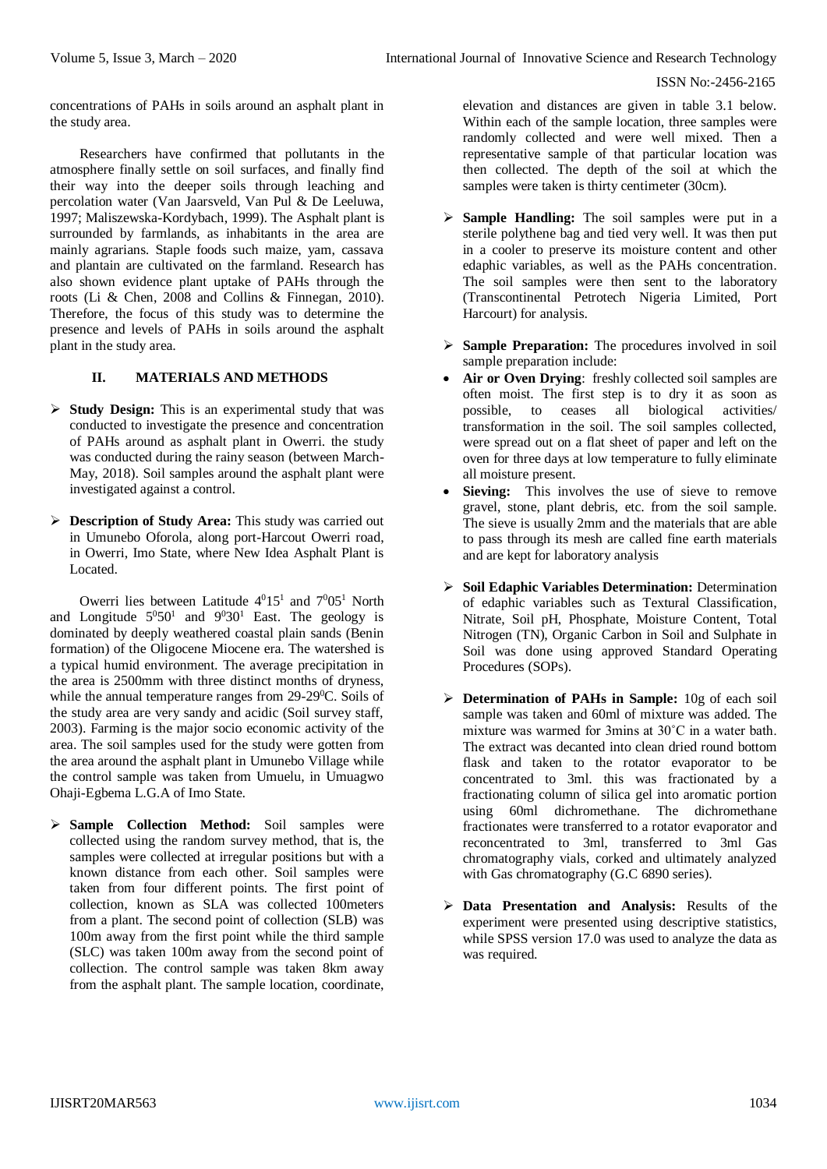concentrations of PAHs in soils around an asphalt plant in the study area.

Researchers have confirmed that pollutants in the atmosphere finally settle on soil surfaces, and finally find their way into the deeper soils through leaching and percolation water (Van Jaarsveld, Van Pul & De Leeluwa, 1997; Maliszewska-Kordybach, 1999). The Asphalt plant is surrounded by farmlands, as inhabitants in the area are mainly agrarians. Staple foods such maize, yam, cassava and plantain are cultivated on the farmland. Research has also shown evidence plant uptake of PAHs through the roots (Li & Chen, 2008 and Collins & Finnegan, 2010). Therefore, the focus of this study was to determine the presence and levels of PAHs in soils around the asphalt plant in the study area.

# **II. MATERIALS AND METHODS**

- **Study Design:** This is an experimental study that was conducted to investigate the presence and concentration of PAHs around as asphalt plant in Owerri. the study was conducted during the rainy season (between March-May, 2018). Soil samples around the asphalt plant were investigated against a control.
- **Description of Study Area:** This study was carried out in Umunebo Oforola, along port-Harcout Owerri road, in Owerri, Imo State, where New Idea Asphalt Plant is Located.

Owerri lies between Latitude  $4^{0}15^{1}$  and  $7^{0}05^{1}$  North and Longitude  $5^050^1$  and  $9^030^1$  East. The geology is dominated by deeply weathered coastal plain sands (Benin formation) of the Oligocene Miocene era. The watershed is a typical humid environment. The average precipitation in the area is 2500mm with three distinct months of dryness, while the annual temperature ranges from 29-29<sup>0</sup>C. Soils of the study area are very sandy and acidic (Soil survey staff, 2003). Farming is the major socio economic activity of the area. The soil samples used for the study were gotten from the area around the asphalt plant in Umunebo Village while the control sample was taken from Umuelu, in Umuagwo Ohaji-Egbema L.G.A of Imo State.

 **Sample Collection Method:** Soil samples were collected using the random survey method, that is, the samples were collected at irregular positions but with a known distance from each other. Soil samples were taken from four different points. The first point of collection, known as SLA was collected 100meters from a plant. The second point of collection (SLB) was 100m away from the first point while the third sample (SLC) was taken 100m away from the second point of collection. The control sample was taken 8km away from the asphalt plant. The sample location, coordinate, elevation and distances are given in table 3.1 below. Within each of the sample location, three samples were randomly collected and were well mixed. Then a representative sample of that particular location was then collected. The depth of the soil at which the samples were taken is thirty centimeter (30cm).

- **Sample Handling:** The soil samples were put in a sterile polythene bag and tied very well. It was then put in a cooler to preserve its moisture content and other edaphic variables, as well as the PAHs concentration. The soil samples were then sent to the laboratory (Transcontinental Petrotech Nigeria Limited, Port Harcourt) for analysis.
- **Sample Preparation:** The procedures involved in soil sample preparation include:
- **Air or Oven Drying**: freshly collected soil samples are often moist. The first step is to dry it as soon as possible, to ceases all biological activities/ transformation in the soil. The soil samples collected, were spread out on a flat sheet of paper and left on the oven for three days at low temperature to fully eliminate all moisture present.
- **Sieving:** This involves the use of sieve to remove gravel, stone, plant debris, etc. from the soil sample. The sieve is usually 2mm and the materials that are able to pass through its mesh are called fine earth materials and are kept for laboratory analysis
- **Soil Edaphic Variables Determination:** Determination of edaphic variables such as Textural Classification, Nitrate, Soil pH, Phosphate, Moisture Content, Total Nitrogen (TN), Organic Carbon in Soil and Sulphate in Soil was done using approved Standard Operating Procedures (SOPs).
- **Determination of PAHs in Sample:** 10g of each soil sample was taken and 60ml of mixture was added. The mixture was warmed for 3mins at 30˚C in a water bath. The extract was decanted into clean dried round bottom flask and taken to the rotator evaporator to be concentrated to 3ml. this was fractionated by a fractionating column of silica gel into aromatic portion using 60ml dichromethane. The dichromethane fractionates were transferred to a rotator evaporator and reconcentrated to 3ml, transferred to 3ml Gas chromatography vials, corked and ultimately analyzed with Gas chromatography (G.C 6890 series).
- **Data Presentation and Analysis:** Results of the experiment were presented using descriptive statistics, while SPSS version 17.0 was used to analyze the data as was required.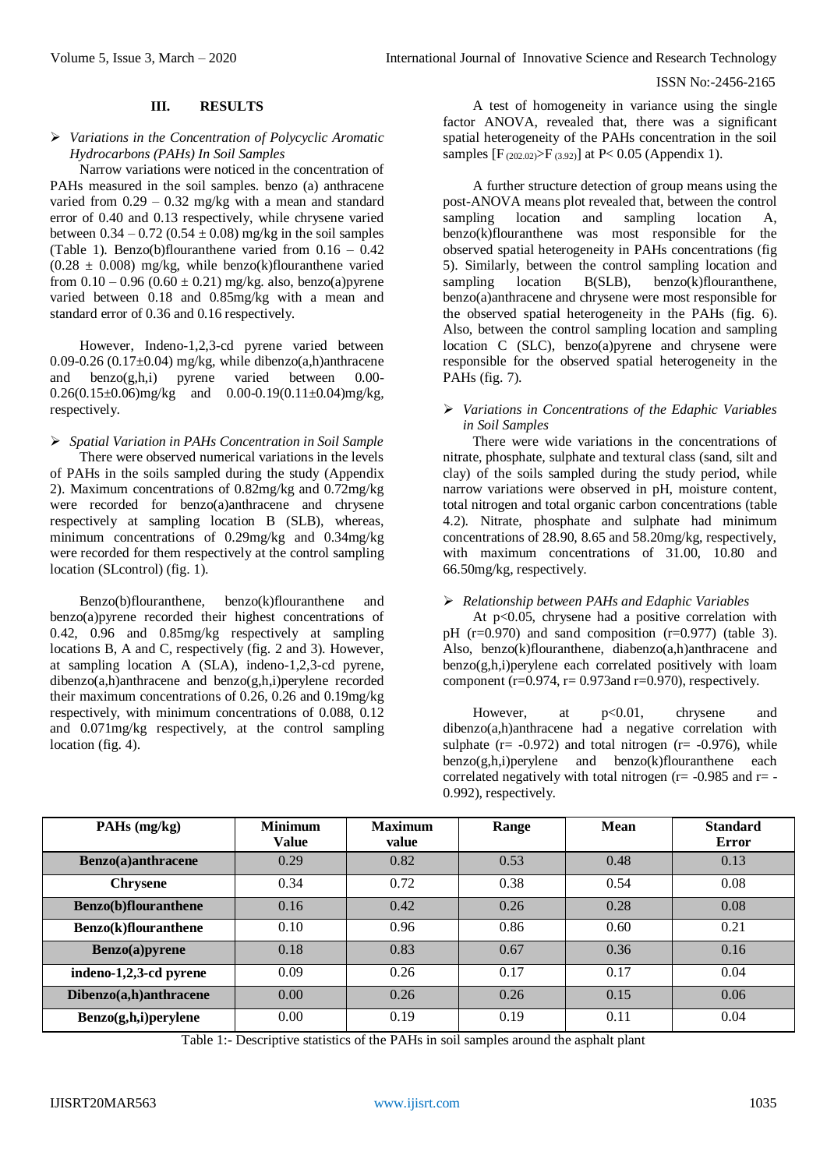### **III. RESULTS**

### *Variations in the Concentration of Polycyclic Aromatic Hydrocarbons (PAHs) In Soil Samples*

Narrow variations were noticed in the concentration of PAHs measured in the soil samples. benzo (a) anthracene varied from  $0.29 - 0.32$  mg/kg with a mean and standard error of 0.40 and 0.13 respectively, while chrysene varied between  $0.34 - 0.72$  ( $0.54 \pm 0.08$ ) mg/kg in the soil samples (Table 1). Benzo(b)flouranthene varied from  $0.16 - 0.42$  $(0.28 \pm 0.008)$  mg/kg, while benzo(k)flouranthene varied from  $0.10 - 0.96 (0.60 \pm 0.21)$  mg/kg. also, benzo(a)pyrene varied between 0.18 and 0.85mg/kg with a mean and standard error of 0.36 and 0.16 respectively.

However, Indeno-1,2,3-cd pyrene varied between 0.09-0.26 (0.17 $\pm$ 0.04) mg/kg, while dibenzo(a,h)anthracene and benzo(g,h,i) pyrene varied between 0.00-  $0.26(0.15\pm0.06)$ mg/kg and  $0.00-0.19(0.11\pm0.04)$ mg/kg, respectively.

 *Spatial Variation in PAHs Concentration in Soil Sample* There were observed numerical variations in the levels of PAHs in the soils sampled during the study (Appendix 2). Maximum concentrations of 0.82mg/kg and 0.72mg/kg were recorded for benzo(a)anthracene and chrysene respectively at sampling location B (SLB), whereas, minimum concentrations of 0.29mg/kg and 0.34mg/kg were recorded for them respectively at the control sampling location (SLcontrol) (fig. 1).

Benzo(b)flouranthene, benzo(k)flouranthene and benzo(a)pyrene recorded their highest concentrations of 0.42, 0.96 and 0.85mg/kg respectively at sampling locations B, A and C, respectively (fig. 2 and 3). However, at sampling location A (SLA), indeno-1,2,3-cd pyrene, dibenzo(a,h)anthracene and benzo(g,h,i)perylene recorded their maximum concentrations of 0.26, 0.26 and 0.19mg/kg respectively, with minimum concentrations of 0.088, 0.12 and 0.071mg/kg respectively, at the control sampling location (fig. 4).

A test of homogeneity in variance using the single factor ANOVA, revealed that, there was a significant spatial heterogeneity of the PAHs concentration in the soil samples  $[F_{(202.02)}>F_{(3.92)}]$  at P< 0.05 (Appendix 1).

A further structure detection of group means using the post-ANOVA means plot revealed that, between the control sampling location and sampling location A, benzo(k)flouranthene was most responsible for the observed spatial heterogeneity in PAHs concentrations (fig 5). Similarly, between the control sampling location and sampling location B(SLB), benzo(k)flouranthene, benzo(a)anthracene and chrysene were most responsible for the observed spatial heterogeneity in the PAHs (fig. 6). Also, between the control sampling location and sampling location C (SLC), benzo(a)pyrene and chrysene were responsible for the observed spatial heterogeneity in the PAHs (fig. 7).

## *Variations in Concentrations of the Edaphic Variables in Soil Samples*

There were wide variations in the concentrations of nitrate, phosphate, sulphate and textural class (sand, silt and clay) of the soils sampled during the study period, while narrow variations were observed in pH, moisture content, total nitrogen and total organic carbon concentrations (table 4.2). Nitrate, phosphate and sulphate had minimum concentrations of 28.90, 8.65 and 58.20mg/kg, respectively, with maximum concentrations of 31.00, 10.80 and 66.50mg/kg, respectively.

# *Relationship between PAHs and Edaphic Variables*

At p<0.05, chrysene had a positive correlation with pH  $(r=0.970)$  and sand composition  $(r=0.977)$  (table 3). Also, benzo(k)flouranthene, diabenzo(a,h)anthracene and benzo(g,h,i)perylene each correlated positively with loam component ( $r=0.974$ ,  $r=0.973$  and  $r=0.970$ ), respectively.

However, at  $p<0.01$ , chrysene and dibenzo(a,h)anthracene had a negative correlation with sulphate ( $r = -0.972$ ) and total nitrogen ( $r = -0.976$ ), while benzo(g,h,i)perylene and benzo(k)flouranthene each correlated negatively with total nitrogen ( $r = -0.985$  and  $r = -$ 0.992), respectively.

| PAHs (mg/kg)                 | <b>Minimum</b><br><b>Value</b> | <b>Maximum</b><br>value | Range | <b>Mean</b> | <b>Standard</b><br>Error |  |
|------------------------------|--------------------------------|-------------------------|-------|-------------|--------------------------|--|
| Benzo(a)anthracene           | 0.29                           | 0.82                    | 0.53  | 0.48        | 0.13                     |  |
| <b>Chrysene</b>              | 0.34                           | 0.72                    | 0.38  | 0.54        | 0.08                     |  |
| <b>Benzo</b> (b)flouranthene | 0.16                           | 0.42                    | 0.26  | 0.28        | 0.08                     |  |
| <b>Benzo(k)flouranthene</b>  | 0.10                           | 0.96                    | 0.86  | 0.60        | 0.21                     |  |
| Benzo(a)pyrene               | 0.18                           | 0.83                    | 0.67  | 0.36        | 0.16                     |  |
| indeno-1,2,3-cd pyrene       | 0.09                           | 0.26                    | 0.17  | 0.17        | 0.04                     |  |
| Dibenzo(a,h)anthracene       | 0.00                           | 0.26                    | 0.26  | 0.15        | 0.06                     |  |
| Benzo(g,h,i)perylene         | 0.00                           | 0.19                    | 0.19  | 0.11        | 0.04                     |  |

Table 1:- Descriptive statistics of the PAHs in soil samples around the asphalt plant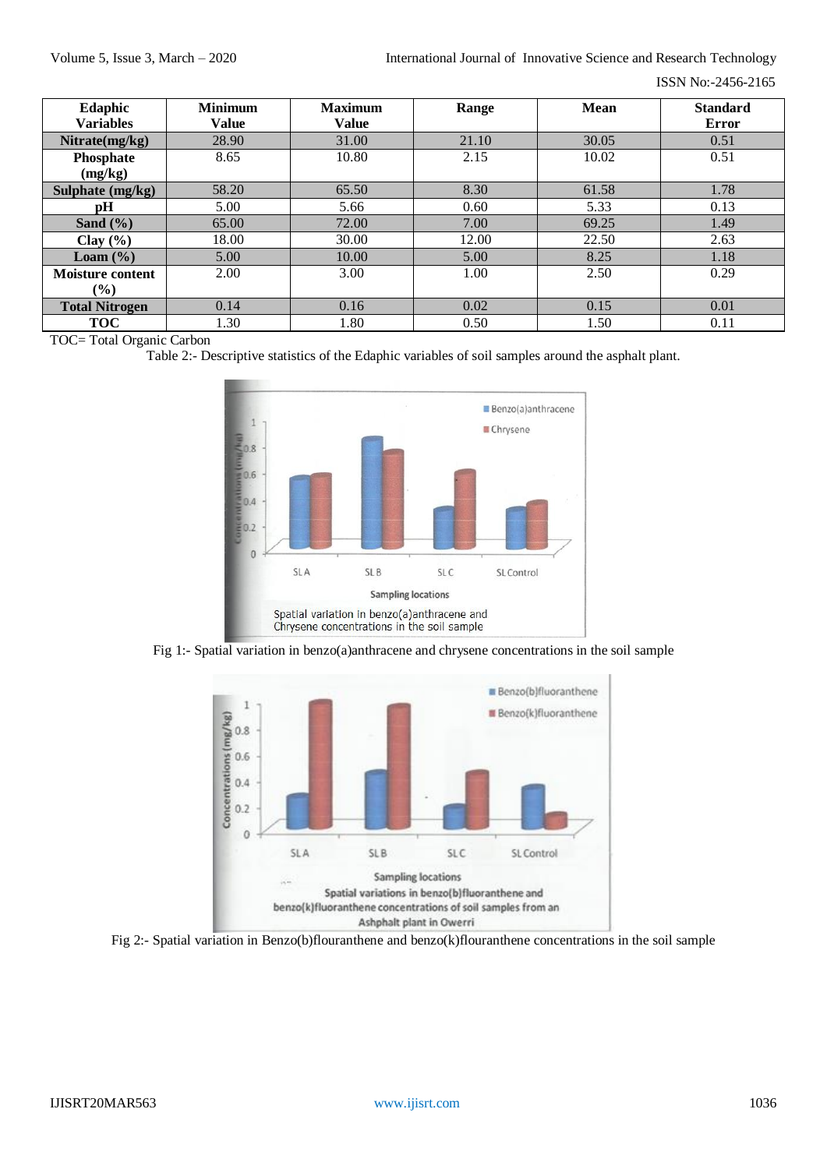ISSN No:-2456-2165

| Edaphic                 | <b>Minimum</b> | <b>Maximum</b> | Range | <b>Mean</b> | <b>Standard</b> |
|-------------------------|----------------|----------------|-------|-------------|-----------------|
| <b>Variables</b>        | <b>Value</b>   | <b>Value</b>   |       |             | <b>Error</b>    |
| Nitrate(mg/kg)          | 28.90          | 31.00          | 21.10 | 30.05       | 0.51            |
| Phosphate               | 8.65           | 10.80          | 2.15  | 10.02       | 0.51            |
| (mg/kg)                 |                |                |       |             |                 |
| Sulphate (mg/kg)        | 58.20          | 65.50          | 8.30  | 61.58       | 1.78            |
| pН                      | 5.00           | 5.66           | 0.60  | 5.33        | 0.13            |
| Sand $(\% )$            | 65.00          | 72.00          | 7.00  | 69.25       | 1.49            |
| Clay $(\% )$            | 18.00          | 30.00          | 12.00 | 22.50       | 2.63            |
| Loam $(\% )$            | 5.00           | 10.00          | 5.00  | 8.25        | 1.18            |
| <b>Moisture content</b> | 2.00           | 3.00           | 1.00  | 2.50        | 0.29            |
| $(\%)$                  |                |                |       |             |                 |
| <b>Total Nitrogen</b>   | 0.14           | 0.16           | 0.02  | 0.15        | 0.01            |
| <b>TOC</b>              | 1.30           | 1.80           | 0.50  | 1.50        | 0.11            |

TOC= Total Organic Carbon

Table 2:- Descriptive statistics of the Edaphic variables of soil samples around the asphalt plant.



Fig 1:- Spatial variation in benzo(a)anthracene and chrysene concentrations in the soil sample



Fig 2:- Spatial variation in Benzo(b)flouranthene and benzo(k)flouranthene concentrations in the soil sample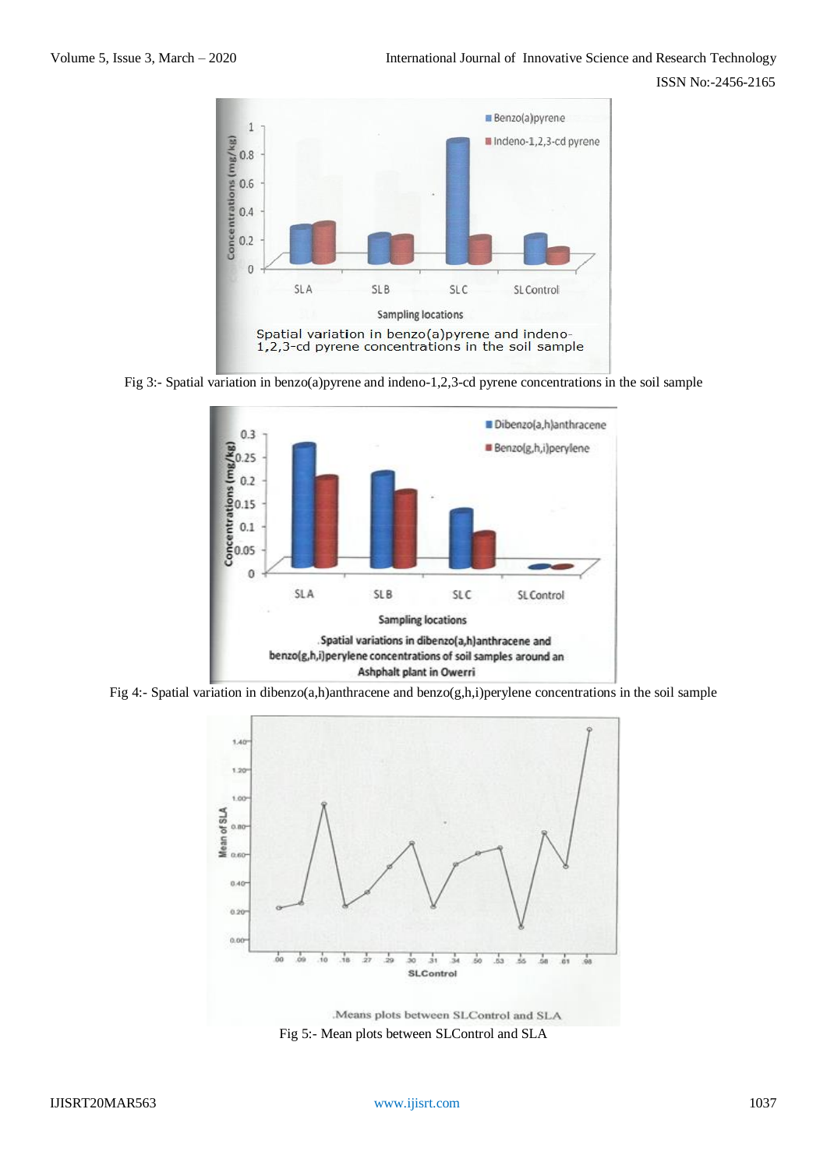





Fig 4:- Spatial variation in dibenzo(a,h)anthracene and benzo(g,h,i)perylene concentrations in the soil sample



Fig 5:- Mean plots between SLControl and SLA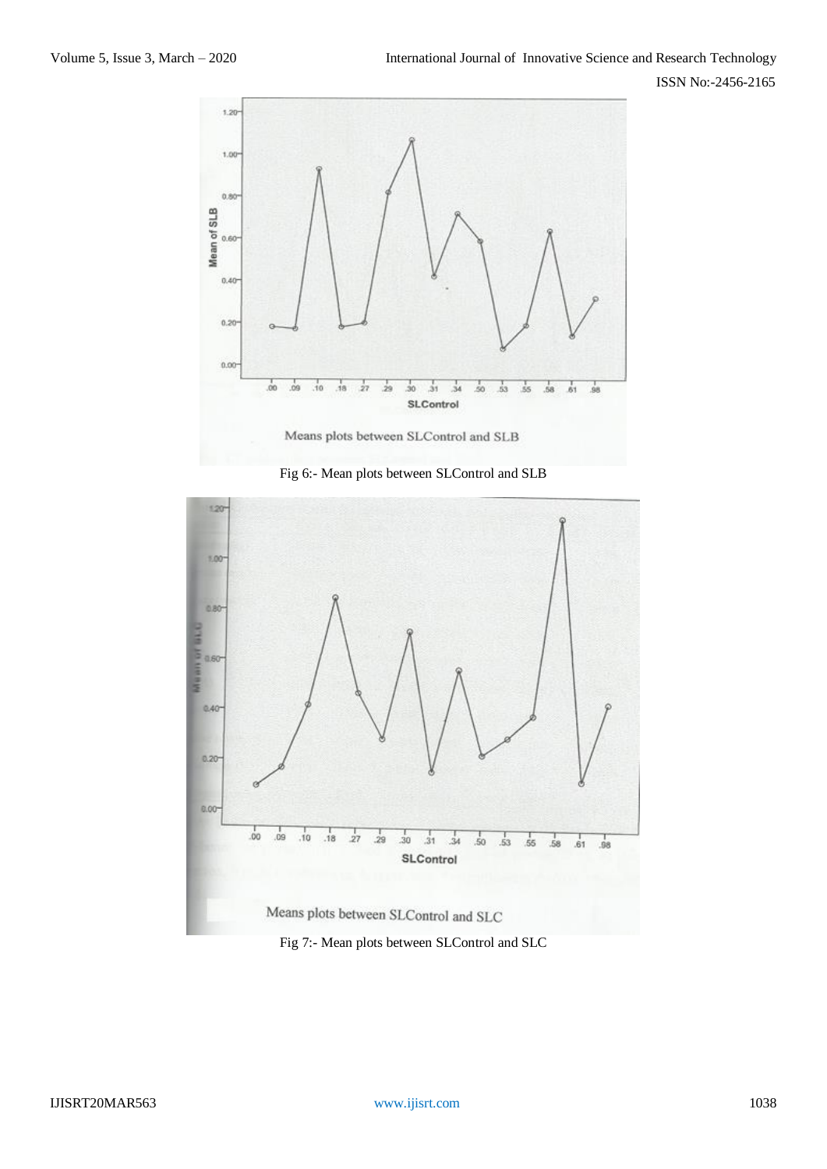





Fig 7:- Mean plots between SLControl and SLC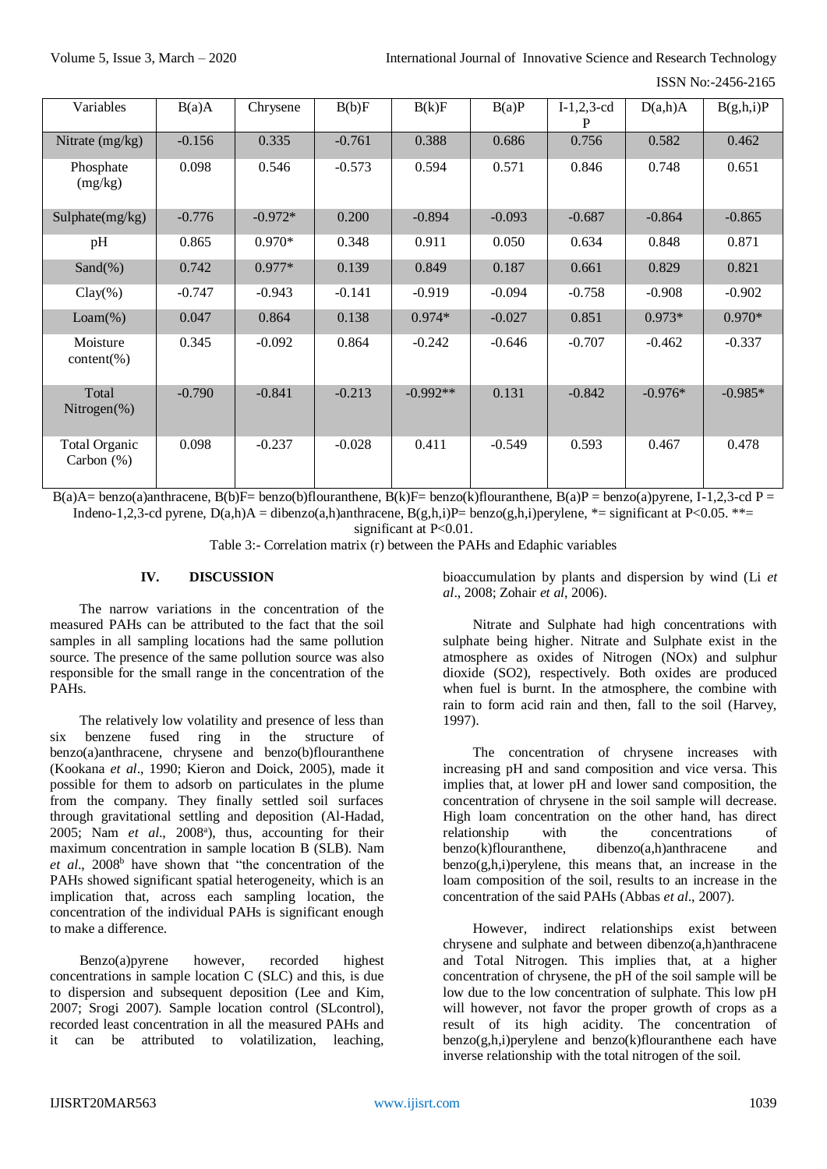ISSN No:-2456-2165

| Variables                             | B(a)A    | Chrysene  | B(b)F    | B(k)F      | B(a)P    | $I-1,2,3-cd$ | D(a,h)A   | B(g,h,i)P |
|---------------------------------------|----------|-----------|----------|------------|----------|--------------|-----------|-----------|
| Nitrate $(mg/kg)$                     | $-0.156$ | 0.335     | $-0.761$ | 0.388      | 0.686    | 0.756        | 0.582     | 0.462     |
| Phosphate<br>(mg/kg)                  | 0.098    | 0.546     | $-0.573$ | 0.594      | 0.571    | 0.846        | 0.748     | 0.651     |
| Sulphate(mg/kg)                       | $-0.776$ | $-0.972*$ | 0.200    | $-0.894$   | $-0.093$ | $-0.687$     | $-0.864$  | $-0.865$  |
| pH                                    | 0.865    | $0.970*$  | 0.348    | 0.911      | 0.050    | 0.634        | 0.848     | 0.871     |
| Sand $(\%)$                           | 0.742    | $0.977*$  | 0.139    | 0.849      | 0.187    | 0.661        | 0.829     | 0.821     |
| $Clay(\%)$                            | $-0.747$ | $-0.943$  | $-0.141$ | $-0.919$   | $-0.094$ | $-0.758$     | $-0.908$  | $-0.902$  |
| $Loam(\%)$                            | 0.047    | 0.864     | 0.138    | $0.974*$   | $-0.027$ | 0.851        | $0.973*$  | $0.970*$  |
| Moisture<br>$content(\% )$            | 0.345    | $-0.092$  | 0.864    | $-0.242$   | $-0.646$ | $-0.707$     | $-0.462$  | $-0.337$  |
| Total<br>Nitrogen $(\%)$              | $-0.790$ | $-0.841$  | $-0.213$ | $-0.992**$ | 0.131    | $-0.842$     | $-0.976*$ | $-0.985*$ |
| <b>Total Organic</b><br>Carbon $(\%)$ | 0.098    | $-0.237$  | $-0.028$ | 0.411      | $-0.549$ | 0.593        | 0.467     | 0.478     |

 $B(a)A=benzo(a)$ anthracene,  $B(b)F=benzo(b)$ flouranthene,  $B(k)F=benzo(k)$ flouranthene,  $B(a)P=benzo(a)pyrene$ ,  $I-1,2,3-cd$   $P=$ Indeno-1,2,3-cd pyrene,  $D(a,h)A = dibenzo(a,h)$ anthracene,  $B(g,h,i)P= benzo(g,h,i)$ perylene, \*= significant at P<0.05. \*\*=

significant at P<0.01.

Table 3:- Correlation matrix (r) between the PAHs and Edaphic variables

# **IV. DISCUSSION**

The narrow variations in the concentration of the measured PAHs can be attributed to the fact that the soil samples in all sampling locations had the same pollution source. The presence of the same pollution source was also responsible for the small range in the concentration of the PAHs.

The relatively low volatility and presence of less than six benzene fused ring in the structure of benzo(a)anthracene, chrysene and benzo(b)flouranthene (Kookana *et al*., 1990; Kieron and Doick, 2005), made it possible for them to adsorb on particulates in the plume from the company. They finally settled soil surfaces through gravitational settling and deposition (Al-Hadad, 2005; Nam et al., 2008<sup>a</sup>), thus, accounting for their maximum concentration in sample location B (SLB). Nam *et al.*, 2008<sup>b</sup> have shown that "the concentration of the PAHs showed significant spatial heterogeneity, which is an implication that, across each sampling location, the concentration of the individual PAHs is significant enough to make a difference.

Benzo(a)pyrene however, recorded highest concentrations in sample location C (SLC) and this, is due to dispersion and subsequent deposition (Lee and Kim, 2007; Srogi 2007). Sample location control (SLcontrol), recorded least concentration in all the measured PAHs and it can be attributed to volatilization, leaching,

bioaccumulation by plants and dispersion by wind (Li *et al*., 2008; Zohair *et al*, 2006).

Nitrate and Sulphate had high concentrations with sulphate being higher. Nitrate and Sulphate exist in the atmosphere as oxides of Nitrogen (NOx) and sulphur dioxide (SO2), respectively. Both oxides are produced when fuel is burnt. In the atmosphere, the combine with rain to form acid rain and then, fall to the soil (Harvey, 1997).

The concentration of chrysene increases with increasing pH and sand composition and vice versa. This implies that, at lower pH and lower sand composition, the concentration of chrysene in the soil sample will decrease. High loam concentration on the other hand, has direct relationship with the concentrations of benzo(k)flouranthene, dibenzo(a,h)anthracene and  $benzo(g,h,i)$  perylene, this means that, an increase in the loam composition of the soil, results to an increase in the concentration of the said PAHs (Abbas *et al*., 2007).

However, indirect relationships exist between chrysene and sulphate and between dibenzo(a,h)anthracene and Total Nitrogen. This implies that, at a higher concentration of chrysene, the pH of the soil sample will be low due to the low concentration of sulphate. This low pH will however, not favor the proper growth of crops as a result of its high acidity. The concentration of  $benzo(g,h,i)$  per ylene and benzo $(k)$ flouranthene each have inverse relationship with the total nitrogen of the soil.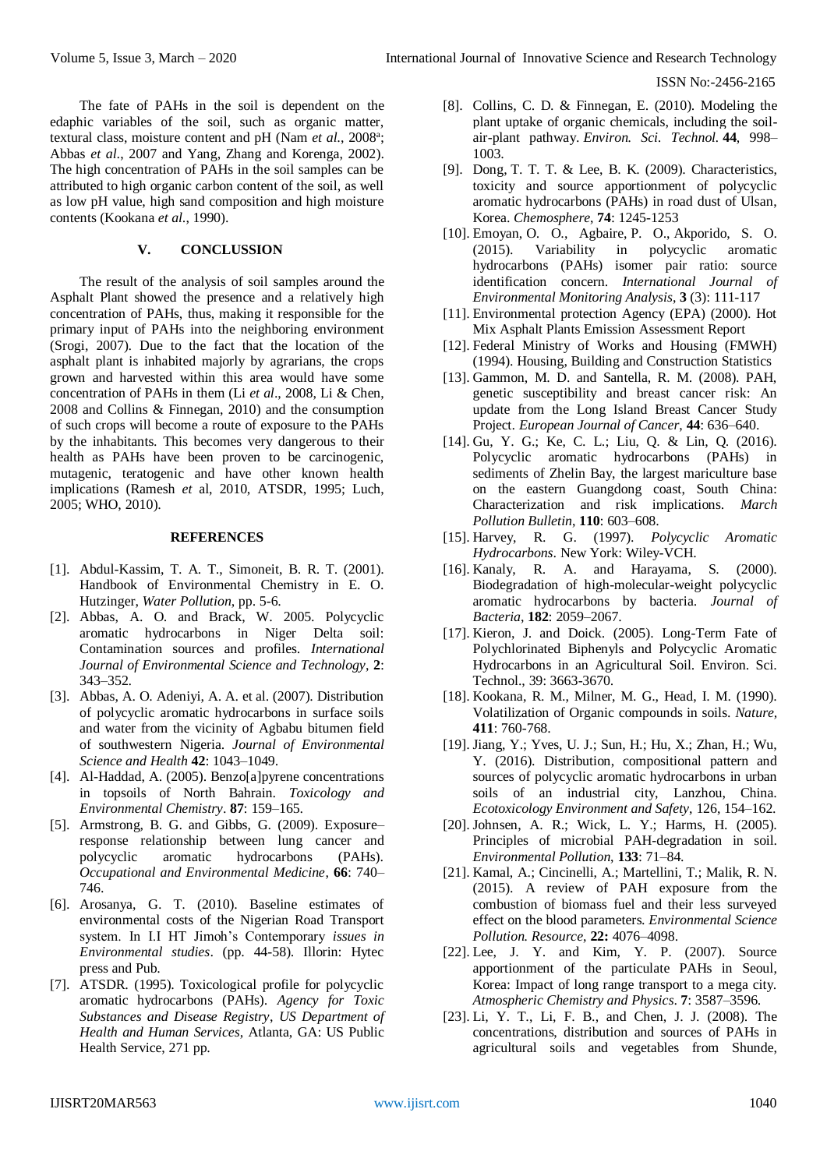The fate of PAHs in the soil is dependent on the edaphic variables of the soil, such as organic matter, textural class, moisture content and pH (Nam *et al*., 2008<sup>a</sup> ; Abbas *et al*., 2007 and Yang, Zhang and Korenga, 2002). The high concentration of PAHs in the soil samples can be attributed to high organic carbon content of the soil, as well as low pH value, high sand composition and high moisture contents (Kookana *et al*., 1990).

# **V. CONCLUSSION**

The result of the analysis of soil samples around the Asphalt Plant showed the presence and a relatively high concentration of PAHs, thus, making it responsible for the primary input of PAHs into the neighboring environment (Srogi, 2007). Due to the fact that the location of the asphalt plant is inhabited majorly by agrarians, the crops grown and harvested within this area would have some concentration of PAHs in them (Li *et al*., 2008, Li & Chen, 2008 and Collins & Finnegan, 2010) and the consumption of such crops will become a route of exposure to the PAHs by the inhabitants. This becomes very dangerous to their health as PAHs have been proven to be carcinogenic, mutagenic, teratogenic and have other known health implications (Ramesh *et* al, 2010, ATSDR, 1995; Luch, 2005; WHO, 2010).

#### **REFERENCES**

- [1]. Abdul-Kassim, T. A. T., Simoneit, B. R. T. (2001). Handbook of Environmental Chemistry in E. O. Hutzinger, *Water Pollution*, pp. 5-6.
- [2]. Abbas, A. O. and Brack, W. 2005. Polycyclic aromatic hydrocarbons in Niger Delta soil: Contamination sources and profiles. *International Journal of Environmental Science and Technology*, **2**: 343–352.
- [3]. Abbas, A. O. Adeniyi, A. A. et al. (2007). Distribution of polycyclic aromatic hydrocarbons in surface soils and water from the vicinity of Agbabu bitumen field of southwestern Nigeria. *Journal of Environmental Science and Health* **42**: 1043–1049.
- [4]. Al-Haddad, A. (2005). Benzo[a]pyrene concentrations in topsoils of North Bahrain. *Toxicology and Environmental Chemistry*. **87**: 159–165.
- [5]. Armstrong, B. G. and Gibbs, G. (2009). Exposure– response relationship between lung cancer and polycyclic aromatic hydrocarbons (PAHs). *Occupational and Environmental Medicine*, **66**: 740– 746.
- [6]. Arosanya, G. T. (2010). Baseline estimates of environmental costs of the Nigerian Road Transport system. In I.I HT Jimoh's Contemporary *issues in Environmental studies*. (pp. 44-58). Illorin: Hytec press and Pub.
- [7]. ATSDR. (1995). Toxicological profile for polycyclic aromatic hydrocarbons (PAHs). *Agency for Toxic Substances and Disease Registry*, *US Department of Health and Human Services*, Atlanta, GA: US Public Health Service, 271 pp.
- [8]. Collins, C. D. & Finnegan, E. (2010). Modeling the plant uptake of organic chemicals, including the soilair-plant pathway. *Environ. Sci. Technol.* **44**, 998– 1003.
- [9]. Dong, T. T. T. & Lee, B. K. (2009). Characteristics, toxicity and source apportionment of polycyclic aromatic hydrocarbons (PAHs) in road dust of Ulsan, Korea. *Chemosphere*, **74**: 1245-1253
- [10]. Emoyan, O. O., Agbaire, P. O., Akporido, S. O. (2015). Variability in polycyclic aromatic hydrocarbons (PAHs) isomer pair ratio: source identification concern. *International Journal of Environmental Monitoring Analysis*, **3** (3): 111-117
- [11]. Environmental protection Agency (EPA) (2000). Hot Mix Asphalt Plants Emission Assessment Report
- [12]. Federal Ministry of Works and Housing (FMWH) (1994). Housing, Building and Construction Statistics
- [13]. Gammon, M. D. and Santella, R. M. (2008). PAH, genetic susceptibility and breast cancer risk: An update from the Long Island Breast Cancer Study Project. *European Journal of Cancer*, **44**: 636–640.
- [14]. Gu, Y. G.; Ke, C. L.; Liu, Q. & Lin, Q. (2016). Polycyclic aromatic hydrocarbons (PAHs) in sediments of Zhelin Bay, the largest mariculture base on the eastern Guangdong coast, South China: Characterization and risk implications. *March Pollution Bulletin*, **110**: 603–608.
- [15]. Harvey, R. G. (1997). *Polycyclic Aromatic Hydrocarbons*. New York: Wiley-VCH.
- [16]. Kanaly, R. A. and Harayama, S. (2000). Biodegradation of high-molecular-weight polycyclic aromatic hydrocarbons by bacteria. *Journal of Bacteria*, **182**: 2059–2067.
- [17]. Kieron, J. and Doick. (2005). Long-Term Fate of Polychlorinated Biphenyls and Polycyclic Aromatic Hydrocarbons in an Agricultural Soil. Environ. Sci. Technol., 39: 3663-3670.
- [18]. Kookana, R. M., Milner, M. G., Head, I. M. (1990). Volatilization of Organic compounds in soils. *Nature,* **411**: 760-768.
- [19]. Jiang, Y.; Yves, U. J.; Sun, H.; Hu, X.; Zhan, H.; Wu, Y. (2016). Distribution, compositional pattern and sources of polycyclic aromatic hydrocarbons in urban soils of an industrial city, Lanzhou, China. *Ecotoxicology Environment and Safety*, 126, 154–162.
- [20]. Johnsen, A. R.; Wick, L. Y.; Harms, H. (2005). Principles of microbial PAH-degradation in soil. *Environmental Pollution*, **133**: 71–84.
- [21]. Kamal, A.; Cincinelli, A.; Martellini, T.; Malik, R. N. (2015). A review of PAH exposure from the combustion of biomass fuel and their less surveyed effect on the blood parameters. *Environmental Science Pollution. Resource*, **22:** 4076–4098.
- [22]. Lee, J. Y. and Kim, Y. P. (2007). Source apportionment of the particulate PAHs in Seoul, Korea: Impact of long range transport to a mega city. *Atmospheric Chemistry and Physics*. **7**: 3587–3596.
- [23]. Li, Y. T., Li, F. B., and Chen, J. J. (2008). The concentrations, distribution and sources of PAHs in agricultural soils and vegetables from Shunde,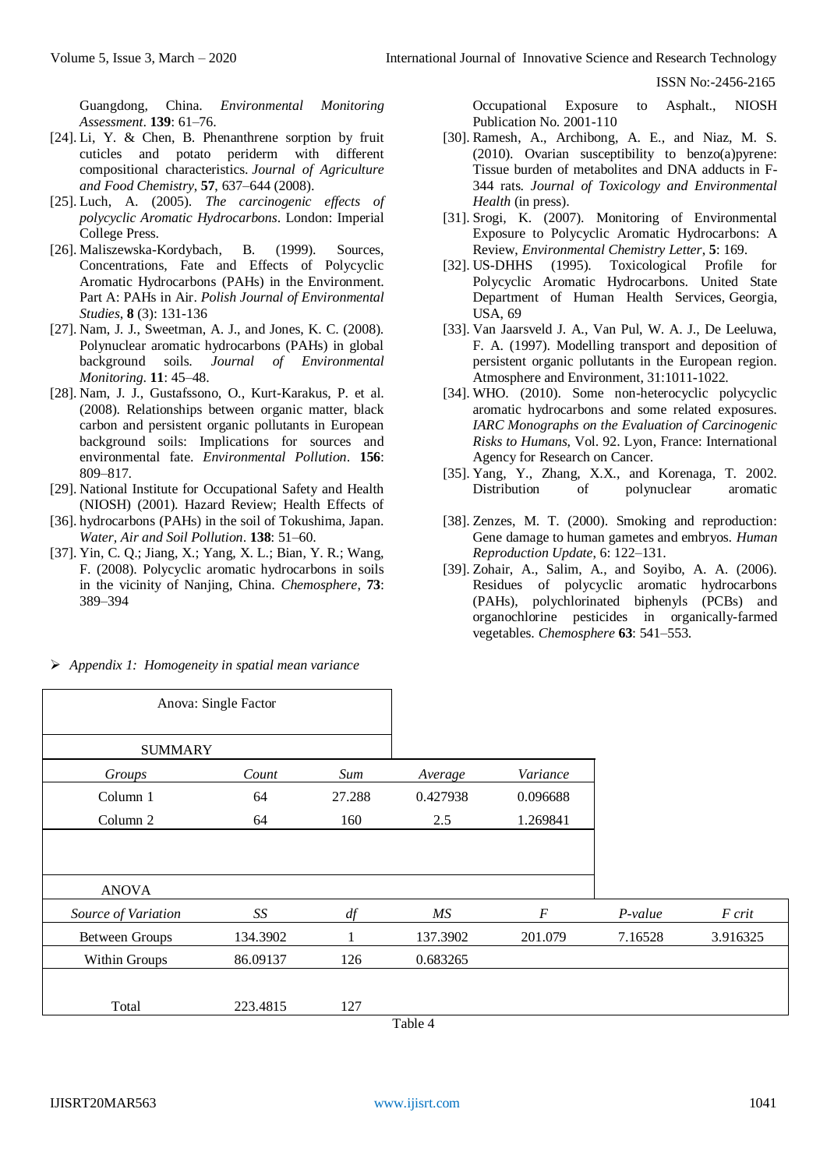Guangdong, China. *Environmental Monitoring Assessment*. **139**: 61–76.

- [24]. Li, Y. & Chen, B. Phenanthrene sorption by fruit cuticles and potato periderm with different compositional characteristics. *Journal of Agriculture and Food Chemistry*, **57**, 637–644 (2008).
- [25]. Luch, A. (2005). *The carcinogenic effects of polycyclic Aromatic Hydrocarbons*. London: Imperial College Press.
- [26]. Maliszewska-Kordybach, B. (1999). Sources, Concentrations, Fate and Effects of Polycyclic Aromatic Hydrocarbons (PAHs) in the Environment. Part A: PAHs in Air. *Polish Journal of Environmental Studies*, **8** (3): 131-136
- [27]. Nam, J. J., Sweetman, A. J., and Jones, K. C. (2008). Polynuclear aromatic hydrocarbons (PAHs) in global background soils. *Journal of Environmental Monitoring*. **11**: 45–48.
- [28]. Nam, J. J., Gustafssono, O., Kurt-Karakus, P. et al. (2008). Relationships between organic matter, black carbon and persistent organic pollutants in European background soils: Implications for sources and environmental fate. *Environmental Pollution*. **156**: 809–817.
- [29]. National Institute for Occupational Safety and Health (NIOSH) (2001). Hazard Review; Health Effects of
- [36]. hydrocarbons (PAHs) in the soil of Tokushima, Japan. *Water, Air and Soil Pollution*. **138**: 51–60.
- [37]. Yin, C. Q.; Jiang, X.; Yang, X. L.; Bian, Y. R.; Wang, F. (2008). Polycyclic aromatic hydrocarbons in soils in the vicinity of Nanjing, China. *Chemosphere*, **73**: 389–394

*Appendix 1: Homogeneity in spatial mean variance*

Occupational Exposure to Asphalt., NIOSH Publication No. 2001-110

- [30]. Ramesh, A., Archibong, A. E., and Niaz, M. S. (2010). Ovarian susceptibility to benzo(a)pyrene: Tissue burden of metabolites and DNA adducts in F-344 rats. *Journal of Toxicology and Environmental Health* (in press).
- [31]. Srogi, K. (2007). Monitoring of Environmental Exposure to Polycyclic Aromatic Hydrocarbons: A Review, *Environmental Chemistry Letter*, **5**: 169.
- [32]. US-DHHS (1995). Toxicological Profile for Polycyclic Aromatic Hydrocarbons. United State Department of Human Health Services, Georgia, USA, 69
- [33]. Van Jaarsveld J. A., Van Pul, W. A. J., De Leeluwa, F. A. (1997). Modelling transport and deposition of persistent organic pollutants in the European region. Atmosphere and Environment, 31:1011-1022.
- [34]. WHO. (2010). Some non-heterocyclic polycyclic aromatic hydrocarbons and some related exposures. *IARC Monographs on the Evaluation of Carcinogenic Risks to Humans*, Vol. 92. Lyon, France: International Agency for Research on Cancer.
- [35]. Yang, Y., Zhang, X.X., and Korenaga, T. 2002. Distribution of polynuclear aromatic
- [38]. Zenzes, M. T. (2000). Smoking and reproduction: Gene damage to human gametes and embryos. *Human Reproduction Update*, 6: 122–131.
- [39]. Zohair, A., Salim, A., and Soyibo, A. A. (2006). Residues of polycyclic aromatic hydrocarbons (PAHs), polychlorinated biphenyls (PCBs) and organochlorine pesticides in organically-farmed vegetables. *Chemosphere* **63**: 541–553.

|                       | Anova: Single Factor |        |          |          |         |          |
|-----------------------|----------------------|--------|----------|----------|---------|----------|
| <b>SUMMARY</b>        |                      |        |          |          |         |          |
| Groups                | Count                | Sum    | Average  | Variance |         |          |
| Column 1              | 64                   | 27.288 | 0.427938 | 0.096688 |         |          |
| Column 2              | 64                   | 160    | 2.5      | 1.269841 |         |          |
|                       |                      |        |          |          |         |          |
| <b>ANOVA</b>          |                      |        |          |          |         |          |
| Source of Variation   | SS                   | df     | MS       | $\cal F$ | P-value | F crit   |
| <b>Between Groups</b> | 134.3902             | 1      | 137.3902 | 201.079  | 7.16528 | 3.916325 |
| Within Groups         | 86.09137             | 126    | 0.683265 |          |         |          |
| Total                 | 223.4815             | 127    |          |          |         |          |
|                       |                      |        | Table 4  |          |         |          |